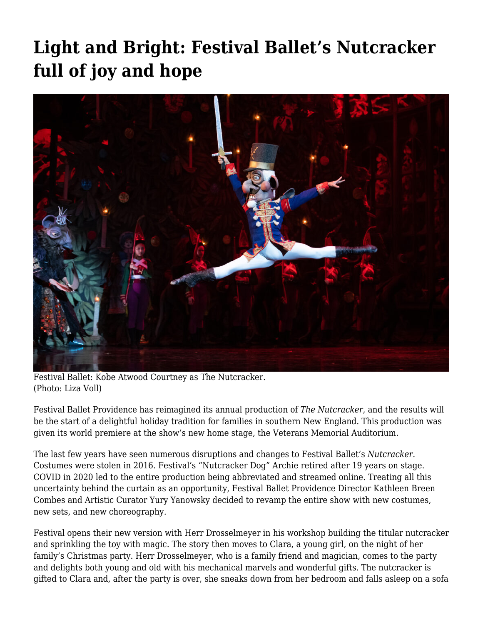## **[Light and Bright: Festival Ballet's Nutcracker](https://motifri.com/festival-nutcracker-2021/) [full of joy and hope](https://motifri.com/festival-nutcracker-2021/)**



Festival Ballet: Kobe Atwood Courtney as The Nutcracker. (Photo: Liza Voll)

Festival Ballet Providence has reimagined its annual production of *The Nutcracker*, and the results will be the start of a delightful holiday tradition for families in southern New England. This production was given its world premiere at the show's new home stage, the Veterans Memorial Auditorium.

The last few years have seen numerous disruptions and changes to Festival Ballet's *Nutcracker*. Costumes were stolen in 2016. Festival's "Nutcracker Dog" Archie retired after 19 years on stage. COVID in 2020 led to the entire production being abbreviated and streamed online. Treating all this uncertainty behind the curtain as an opportunity, Festival Ballet Providence Director Kathleen Breen Combes and Artistic Curator Yury Yanowsky decided to revamp the entire show with new costumes, new sets, and new choreography.

Festival opens their new version with Herr Drosselmeyer in his workshop building the titular nutcracker and sprinkling the toy with magic. The story then moves to Clara, a young girl, on the night of her family's Christmas party. Herr Drosselmeyer, who is a family friend and magician, comes to the party and delights both young and old with his mechanical marvels and wonderful gifts. The nutcracker is gifted to Clara and, after the party is over, she sneaks down from her bedroom and falls asleep on a sofa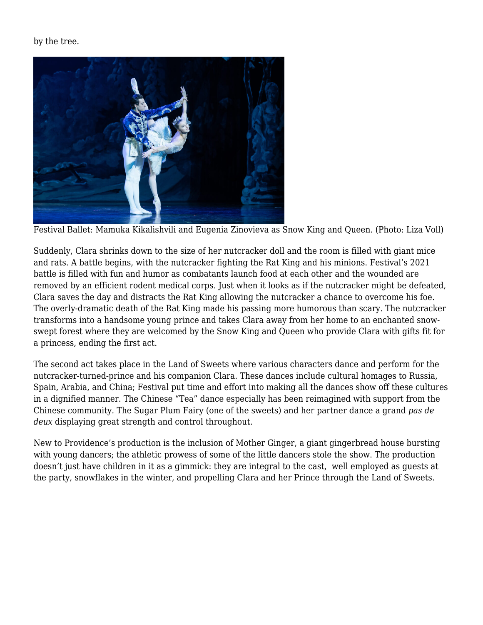by the tree.



Festival Ballet: Mamuka Kikalishvili and Eugenia Zinovieva as Snow King and Queen. (Photo: Liza Voll)

Suddenly, Clara shrinks down to the size of her nutcracker doll and the room is filled with giant mice and rats. A battle begins, with the nutcracker fighting the Rat King and his minions. Festival's 2021 battle is filled with fun and humor as combatants launch food at each other and the wounded are removed by an efficient rodent medical corps. Just when it looks as if the nutcracker might be defeated, Clara saves the day and distracts the Rat King allowing the nutcracker a chance to overcome his foe. The overly-dramatic death of the Rat King made his passing more humorous than scary. The nutcracker transforms into a handsome young prince and takes Clara away from her home to an enchanted snowswept forest where they are welcomed by the Snow King and Queen who provide Clara with gifts fit for a princess, ending the first act.

The second act takes place in the Land of Sweets where various characters dance and perform for the nutcracker-turned-prince and his companion Clara. These dances include cultural homages to Russia, Spain, Arabia, and China; Festival put time and effort into making all the dances show off these cultures in a dignified manner. The Chinese "Tea" dance especially has been reimagined with support from the Chinese community. The Sugar Plum Fairy (one of the sweets) and her partner dance a grand *pas de deux* displaying great strength and control throughout.

New to Providence's production is the inclusion of Mother Ginger, a giant gingerbread house bursting with young dancers; the athletic prowess of some of the little dancers stole the show. The production doesn't just have children in it as a gimmick: they are integral to the cast, well employed as guests at the party, snowflakes in the winter, and propelling Clara and her Prince through the Land of Sweets.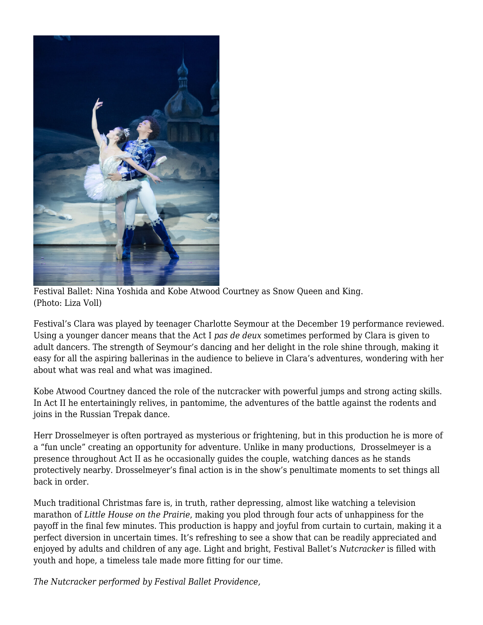

Festival Ballet: Nina Yoshida and Kobe Atwood Courtney as Snow Queen and King. (Photo: Liza Voll)

Festival's Clara was played by teenager Charlotte Seymour at the December 19 performance reviewed. Using a younger dancer means that the Act I *pas de deux* sometimes performed by Clara is given to adult dancers. The strength of Seymour's dancing and her delight in the role shine through, making it easy for all the aspiring ballerinas in the audience to believe in Clara's adventures, wondering with her about what was real and what was imagined.

Kobe Atwood Courtney danced the role of the nutcracker with powerful jumps and strong acting skills. In Act II he entertainingly relives, in pantomime, the adventures of the battle against the rodents and joins in the Russian Trepak dance.

Herr Drosselmeyer is often portrayed as mysterious or frightening, but in this production he is more of a "fun uncle" creating an opportunity for adventure. Unlike in many productions, Drosselmeyer is a presence throughout Act II as he occasionally guides the couple, watching dances as he stands protectively nearby. Drosselmeyer's final action is in the show's penultimate moments to set things all back in order.

Much traditional Christmas fare is, in truth, rather depressing, almost like watching a television marathon of *Little House on the Prairie*, making you plod through four acts of unhappiness for the payoff in the final few minutes. This production is happy and joyful from curtain to curtain, making it a perfect diversion in uncertain times. It's refreshing to see a show that can be readily appreciated and enjoyed by adults and children of any age. Light and bright, Festival Ballet's *Nutcracker* is filled with youth and hope, a timeless tale made more fitting for our time.

*The Nutcracker performed by Festival Ballet Providence,*